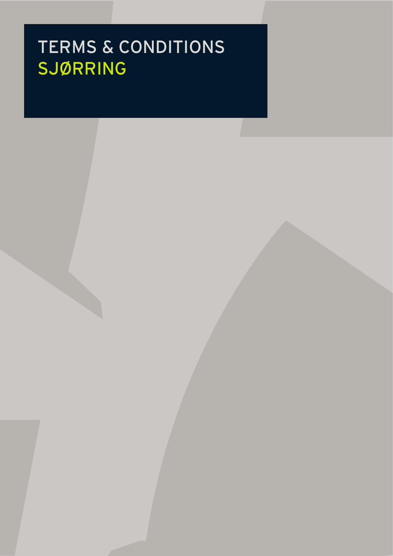# TERMS & CONDITIONS SJØRRING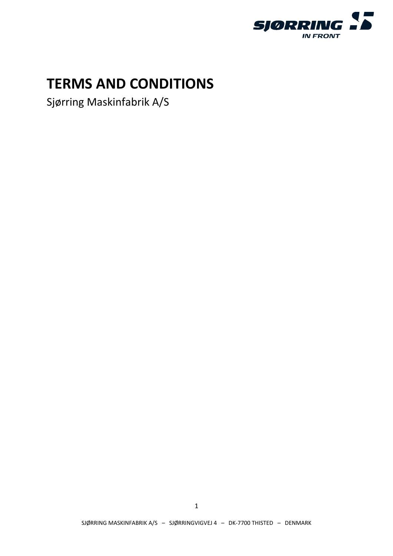

# **TERMS AND CONDITIONS**

Sjørring Maskinfabrik A/S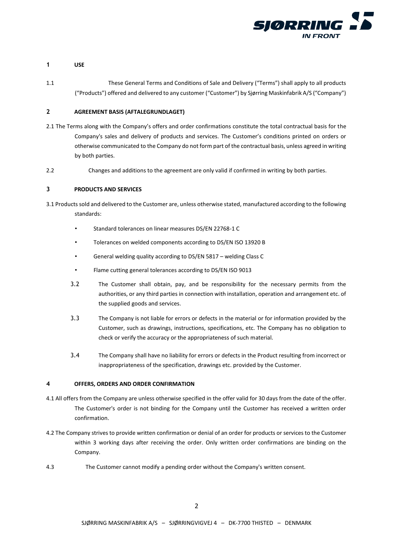

# **1 USE**

1.1 These General Terms and Conditions of Sale and Delivery ("Terms") shall apply to all products ("Products") offered and delivered to any customer ("Customer") by Sjørring Maskinfabrik A/S ("Company")

# **2 AGREEMENT BASIS (AFTALEGRUNDLAGET)**

- 2.1 The Terms along with the Company's offers and order confirmations constitute the total contractual basis for the Company's sales and delivery of products and services. The Customer's conditions printed on orders or otherwise communicated to the Company do not form part of the contractual basis, unless agreed in writing by both parties.
- 2.2 Changes and additions to the agreement are only valid if confirmed in writing by both parties.

# **3 PRODUCTS AND SERVICES**

- 3.1 Products sold and delivered to the Customer are, unless otherwise stated, manufactured according to the following standards:
	- Standard tolerances on linear measures DS/EN 22768-1 C
	- Tolerances on welded components according to DS/EN ISO 13920 B
	- General welding quality according to DS/EN 5817 welding Class C
	- Flame cutting general tolerances according to DS/EN ISO 9013
	- 3.2 The Customer shall obtain, pay, and be responsibility for the necessary permits from the authorities, or any third parties in connection with installation, operation and arrangement etc. of the supplied goods and services.
	- 3.3 The Company is not liable for errors or defects in the material or for information provided by the Customer, such as drawings, instructions, specifications, etc. The Company has no obligation to check or verify the accuracy or the appropriateness of such material.
	- 3.4 The Company shall have no liability for errors or defects in the Product resulting from incorrect or inappropriateness of the specification, drawings etc. provided by the Customer.

# **4 OFFERS, ORDERS AND ORDER CONFIRMATION**

- 4.1 All offers from the Company are unless otherwise specified in the offer valid for 30 days from the date of the offer. The Customer's order is not binding for the Company until the Customer has received a written order confirmation.
- 4.2 The Company strives to provide written confirmation or denial of an order for products or services to the Customer within 3 working days after receiving the order. Only written order confirmations are binding on the Company.
- 4.3 The Customer cannot modify a pending order without the Company's written consent.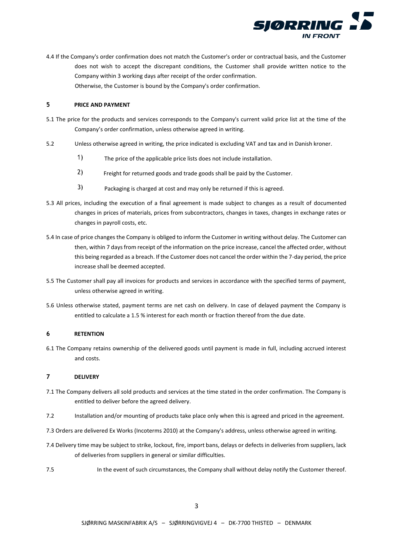

4.4 If the Company's order confirmation does not match the Customer's order or contractual basis, and the Customer does not wish to accept the discrepant conditions, the Customer shall provide written notice to the Company within 3 working days after receipt of the order confirmation. Otherwise, the Customer is bound by the Company's order confirmation.

# **5 PRICE AND PAYMENT**

- 5.1 The price for the products and services corresponds to the Company's current valid price list at the time of the Company's order confirmation, unless otherwise agreed in writing.
- 5.2 Unless otherwise agreed in writing, the price indicated is excluding VAT and tax and in Danish kroner.
	- $\left| \right|$ The price of the applicable price lists does not include installation.
	- $2)$ Freight for returned goods and trade goods shall be paid by the Customer.
	- $3)$ Packaging is charged at cost and may only be returned if this is agreed.
- 5.3 All prices, including the execution of a final agreement is made subject to changes as a result of documented changes in prices of materials, prices from subcontractors, changes in taxes, changes in exchange rates or changes in payroll costs, etc.
- 5.4 In case of price changes the Company is obliged to inform the Customer in writing without delay. The Customer can then, within 7 days from receipt of the information on the price increase, cancel the affected order, without this being regarded as a breach. If the Customer does not cancel the order within the 7-day period, the price increase shall be deemed accepted.
- 5.5 The Customer shall pay all invoices for products and services in accordance with the specified terms of payment, unless otherwise agreed in writing.
- 5.6 Unless otherwise stated, payment terms are net cash on delivery. In case of delayed payment the Company is entitled to calculate a 1.5 % interest for each month or fraction thereof from the due date.

#### **6 RETENTION**

6.1 The Company retains ownership of the delivered goods until payment is made in full, including accrued interest and costs.

#### **7 DELIVERY**

- 7.1 The Company delivers all sold products and services at the time stated in the order confirmation. The Company is entitled to deliver before the agreed delivery.
- 7.2 Installation and/or mounting of products take place only when this is agreed and priced in the agreement.
- 7.3 Orders are delivered Ex Works (Incoterms 2010) at the Company's address, unless otherwise agreed in writing.
- 7.4 Delivery time may be subject to strike, lockout, fire, import bans, delays or defects in deliveries from suppliers, lack of deliveries from suppliers in general or similar difficulties.
- 7.5 In the event of such circumstances, the Company shall without delay notify the Customer thereof.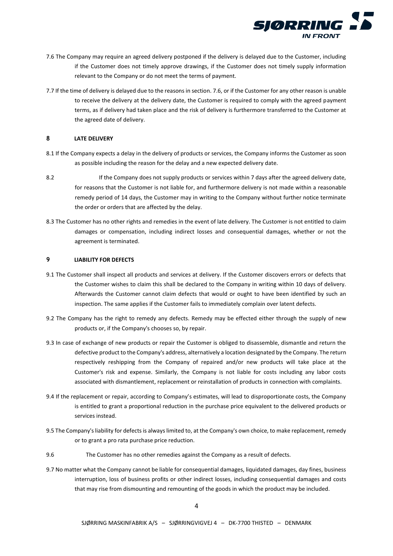

- 7.6 The Company may require an agreed delivery postponed if the delivery is delayed due to the Customer, including if the Customer does not timely approve drawings, if the Customer does not timely supply information relevant to the Company or do not meet the terms of payment.
- 7.7 If the time of delivery is delayed due to the reasons in section. 7.6, or if the Customer for any other reason is unable to receive the delivery at the delivery date, the Customer is required to comply with the agreed payment terms, as if delivery had taken place and the risk of delivery is furthermore transferred to the Customer at the agreed date of delivery.

#### **8 LATE DELIVERY**

- 8.1 If the Company expects a delay in the delivery of products or services, the Company informs the Customer as soon as possible including the reason for the delay and a new expected delivery date.
- 8.2 If the Company does not supply products or services within 7 days after the agreed delivery date, for reasons that the Customer is not liable for, and furthermore delivery is not made within a reasonable remedy period of 14 days, the Customer may in writing to the Company without further notice terminate the order or orders that are affected by the delay.
- 8.3 The Customer has no other rights and remedies in the event of late delivery. The Customer is not entitled to claim damages or compensation, including indirect losses and consequential damages, whether or not the agreement is terminated.

# **9 LIABILITY FOR DEFECTS**

- 9.1 The Customer shall inspect all products and services at delivery. If the Customer discovers errors or defects that the Customer wishes to claim this shall be declared to the Company in writing within 10 days of delivery. Afterwards the Customer cannot claim defects that would or ought to have been identified by such an inspection. The same applies if the Customer fails to immediately complain over latent defects.
- 9.2 The Company has the right to remedy any defects. Remedy may be effected either through the supply of new products or, if the Company's chooses so, by repair.
- 9.3 In case of exchange of new products or repair the Customer is obliged to disassemble, dismantle and return the defective product to the Company's address, alternatively a location designated by the Company. The return respectively reshipping from the Company of repaired and/or new products will take place at the Customer's risk and expense. Similarly, the Company is not liable for costs including any labor costs associated with dismantlement, replacement or reinstallation of products in connection with complaints.
- 9.4 If the replacement or repair, according to Company's estimates, will lead to disproportionate costs, the Company is entitled to grant a proportional reduction in the purchase price equivalent to the delivered products or services instead.
- 9.5 The Company's liability for defects is always limited to, at the Company's own choice, to make replacement, remedy or to grant a pro rata purchase price reduction.
- 9.6 The Customer has no other remedies against the Company as a result of defects.
- 9.7 No matter what the Company cannot be liable for consequential damages, liquidated damages, day fines, business interruption, loss of business profits or other indirect losses, including consequential damages and costs that may rise from dismounting and remounting of the goods in which the product may be included.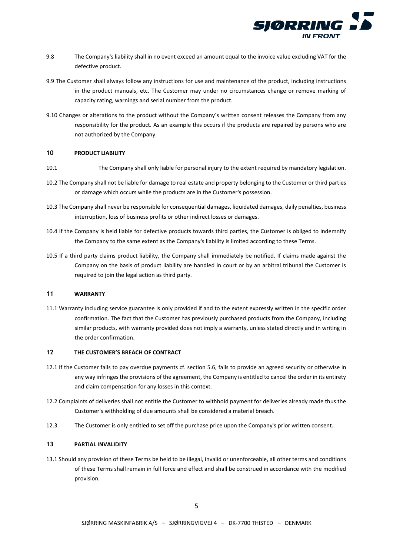

- 9.8 The Company's liability shall in no event exceed an amount equal to the invoice value excluding VAT for the defective product.
- 9.9 The Customer shall always follow any instructions for use and maintenance of the product, including instructions in the product manuals, etc. The Customer may under no circumstances change or remove marking of capacity rating, warnings and serial number from the product.
- 9.10 Changes or alterations to the product without the Company´s written consent releases the Company from any responsibility for the product. As an example this occurs if the products are repaired by persons who are not authorized by the Company.

#### **10 PRODUCT LIABILITY**

- 10.1 The Company shall only liable for personal injury to the extent required by mandatory legislation.
- 10.2 The Company shall not be liable for damage to real estate and property belonging to the Customer or third parties or damage which occurs while the products are in the Customer's possession.
- 10.3 The Company shall never be responsible for consequential damages, liquidated damages, daily penalties, business interruption, loss of business profits or other indirect losses or damages.
- 10.4 If the Company is held liable for defective products towards third parties, the Customer is obliged to indemnify the Company to the same extent as the Company's liability is limited according to these Terms.
- 10.5 If a third party claims product liability, the Company shall immediately be notified. If claims made against the Company on the basis of product liability are handled in court or by an arbitral tribunal the Customer is required to join the legal action as third party.

### **11 WARRANTY**

11.1 Warranty including service guarantee is only provided if and to the extent expressly written in the specific order confirmation. The fact that the Customer has previously purchased products from the Company, including similar products, with warranty provided does not imply a warranty, unless stated directly and in writing in the order confirmation.

# **12 THE CUSTOMER'S BREACH OF CONTRACT**

- 12.1 If the Customer fails to pay overdue payments cf. section 5.6, fails to provide an agreed security or otherwise in any way infringes the provisions of the agreement, the Company is entitled to cancel the order in its entirety and claim compensation for any losses in this context.
- 12.2 Complaints of deliveries shall not entitle the Customer to withhold payment for deliveries already made thus the Customer's withholding of due amounts shall be considered a material breach.
- 12.3 The Customer is only entitled to set off the purchase price upon the Company's prior written consent.

#### **13 PARTIAL INVALIDITY**

13.1 Should any provision of these Terms be held to be illegal, invalid or unenforceable, all other terms and conditions of these Terms shall remain in full force and effect and shall be construed in accordance with the modified provision.